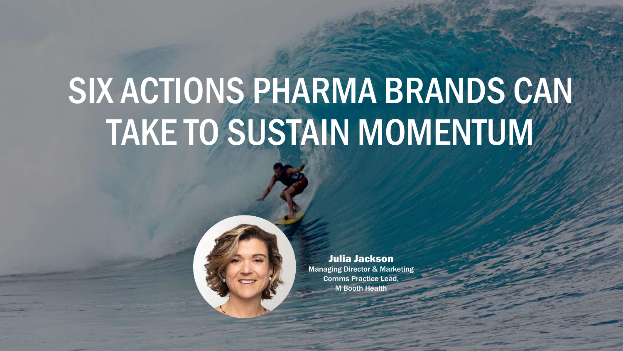# SIX ACTIONS PHARMA BRANDS CAN TAKE TO SUSTAIN MOMENTUM

TOP 6 ACTIONS PHARMA CAN TAKE TO 6 ACTIONS PHARMA CAN TAKE TO SUSTAIN MOMENTUM

©2021 M BOOTH HEALTH | CONFIDENTIAL | DO NOT DISTRIBUTE

Julia Jackson Managing Director & Marketing Comms Practice Lead, M Booth Health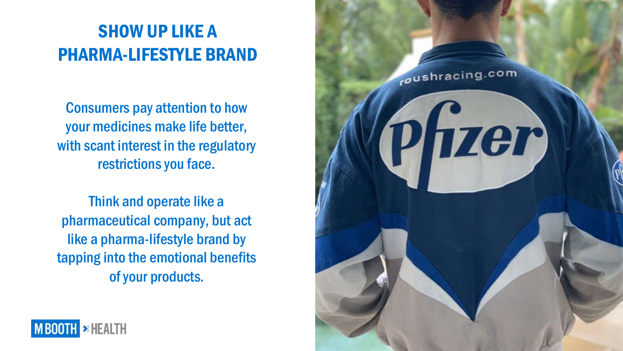### SHOW UP LIKE A PHARMA -LIFESTYLE BRAND

Consumers pay attention to how your medicines make life better, with scant interest in the regulatory restrictions you face.

Think and operate like a pharmaceutical company, but act like a pharma -lifestyle brand by tapping into the emotional benefits of your products.



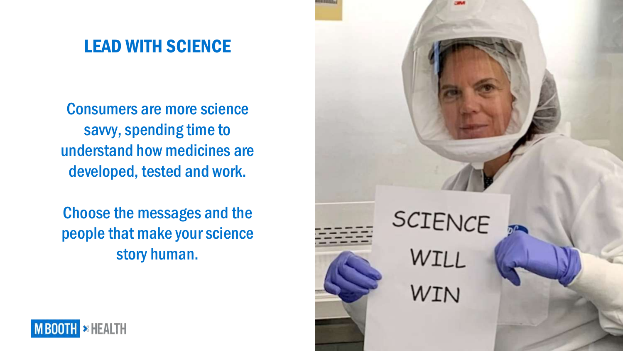#### LEAD WITH SCIENCE

Consumers are more science savvy, spending time to understand how medicines are developed, tested and work.

Choose the messages and the people that make your science story human.



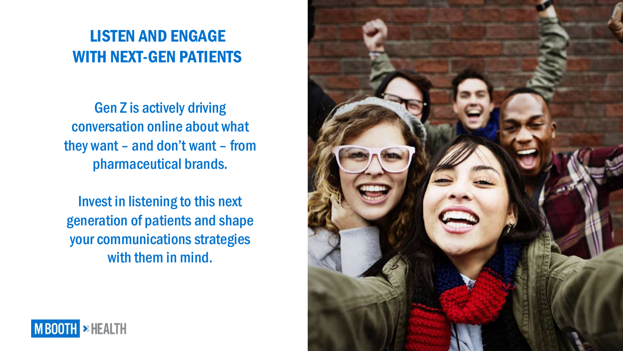#### LISTEN AND ENGAGE WITH NEXT-GEN PATIENTS

Gen Z is actively driving conversation online about what they want – and don't want – from pharmaceutical brands.

Invest in listening to this next generation of patients and shape your communications strategies with them in mind.



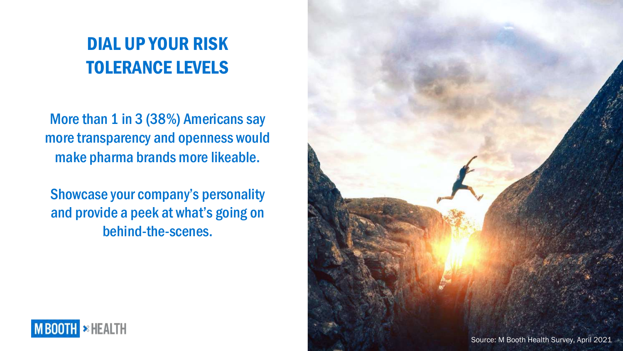### DIAL UP YOUR RISK TOLERANCE LEVELS

More than 1 in 3 (38%) Americans say more transparency and openness would make pharma brands more likeable.

Showcase your company's personality and provide a peek at what's going on behind-the-scenes.



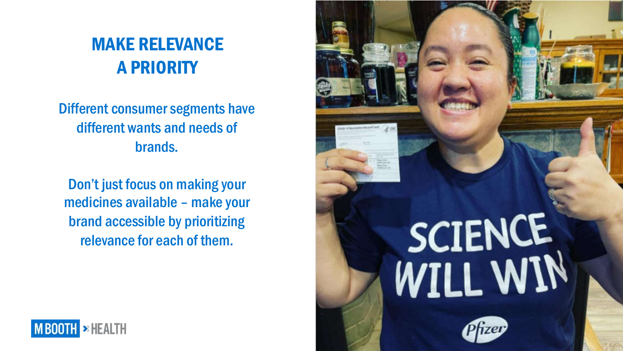### MAKE RELEVANCE A PRIORITY

Different consumer segments have different wants and needs of brands.

Don't just focus on making your medicines available – make your brand accessible by prioritizing relevance for each of them.



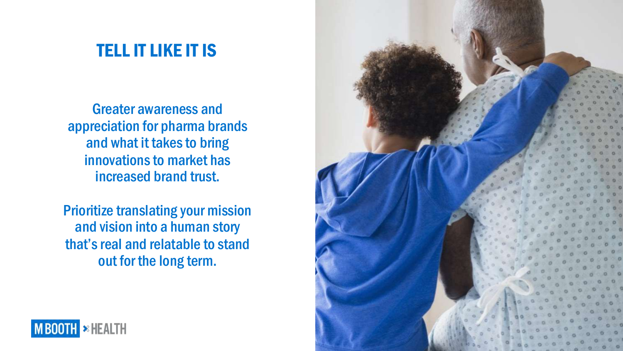#### TELL IT LIKE IT IS

Greater awareness and appreciation for pharma brands and what it takes to bring innovations to market has increased brand trust.

Prioritize translating your mission and vision into a human story that's real and relatable to stand out for the long term.



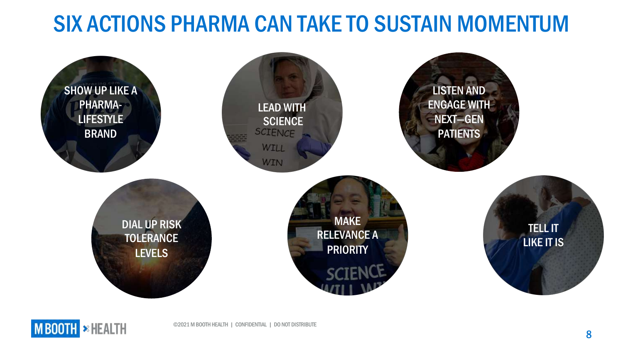## SIX ACTIONS PHARMA CAN TAKE TO SUSTAIN MOMENTUM